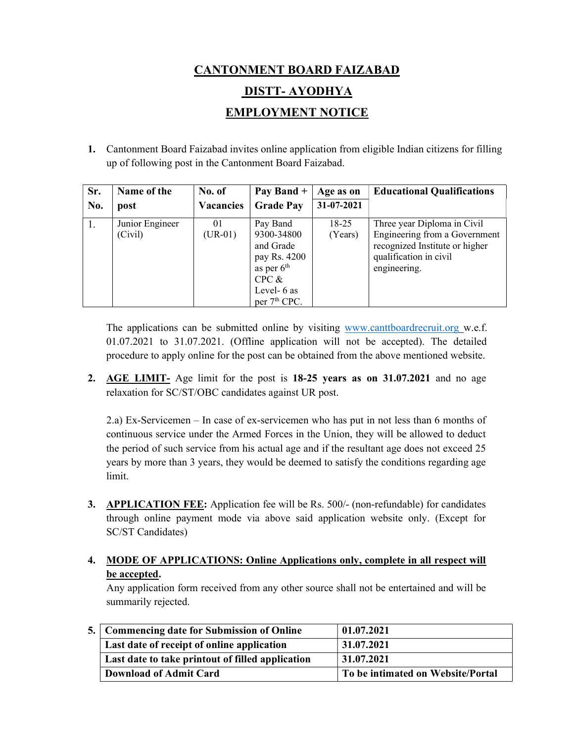# CANTONMENT BOARD FAIZABAD DISTT- AYODHYA EMPLOYMENT NOTICE

1. Cantonment Board Faizabad invites online application from eligible Indian citizens for filling up of following post in the Cantonment Board Faizabad.

| Sr. | Name of the                | No. of           | Pay Band $+$                                                                                                            | Age as on            | <b>Educational Qualifications</b>                                                                                                        |
|-----|----------------------------|------------------|-------------------------------------------------------------------------------------------------------------------------|----------------------|------------------------------------------------------------------------------------------------------------------------------------------|
| No. | post                       | <b>Vacancies</b> | <b>Grade Pay</b>                                                                                                        | 31-07-2021           |                                                                                                                                          |
| 1.  | Junior Engineer<br>(Civil) | 01<br>$(UR-01)$  | Pay Band<br>9300-34800<br>and Grade<br>pay Rs. 4200<br>as per $6th$<br>CPC &<br>Level- 6 as<br>per 7 <sup>th</sup> CPC. | $18 - 25$<br>(Years) | Three year Diploma in Civil<br>Engineering from a Government<br>recognized Institute or higher<br>qualification in civil<br>engineering. |

The applications can be submitted online by visiting www.canttboardrecruit.org w.e.f. 01.07.2021 to 31.07.2021. (Offline application will not be accepted). The detailed procedure to apply online for the post can be obtained from the above mentioned website.

2. AGE LIMIT- Age limit for the post is 18-25 years as on 31.07.2021 and no age relaxation for SC/ST/OBC candidates against UR post.

 2.a) Ex-Servicemen – In case of ex-servicemen who has put in not less than 6 months of continuous service under the Armed Forces in the Union, they will be allowed to deduct the period of such service from his actual age and if the resultant age does not exceed 25 years by more than 3 years, they would be deemed to satisfy the conditions regarding age limit.

3. APPLICATION FEE: Application fee will be Rs. 500/- (non-refundable) for candidates through online payment mode via above said application website only. (Except for SC/ST Candidates)

# 4. MODE OF APPLICATIONS: Online Applications only, complete in all respect will be accepted.

 Any application form received from any other source shall not be entertained and will be summarily rejected.

| 5. Commencing date for Submission of Online      | 01.07.2021                        |  |  |
|--------------------------------------------------|-----------------------------------|--|--|
| Last date of receipt of online application       | 31.07.2021                        |  |  |
| Last date to take printout of filled application | 31.07.2021                        |  |  |
| <b>Download of Admit Card</b>                    | To be intimated on Website/Portal |  |  |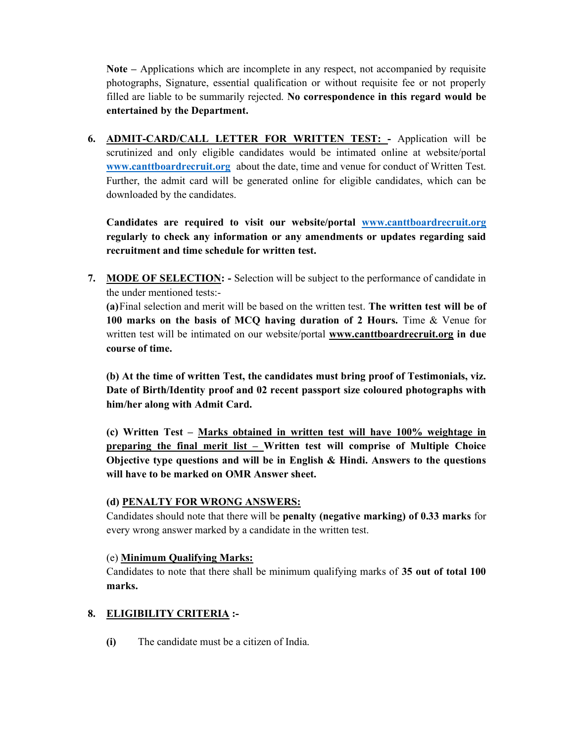Note – Applications which are incomplete in any respect, not accompanied by requisite photographs, Signature, essential qualification or without requisite fee or not properly filled are liable to be summarily rejected. No correspondence in this regard would be entertained by the Department.

6. ADMIT-CARD/CALL LETTER FOR WRITTEN TEST: - Application will be scrutinized and only eligible candidates would be intimated online at website/portal www.canttboardrecruit.org about the date, time and venue for conduct of Written Test. Further, the admit card will be generated online for eligible candidates, which can be downloaded by the candidates.

 Candidates are required to visit our website/portal www.canttboardrecruit.org regularly to check any information or any amendments or updates regarding said recruitment and time schedule for written test.

7. MODE OF SELECTION: - Selection will be subject to the performance of candidate in the under mentioned tests:-

 (a) Final selection and merit will be based on the written test. The written test will be of 100 marks on the basis of MCQ having duration of 2 Hours. Time & Venue for written test will be intimated on our website/portal www.canttboardrecruit.org in due course of time.

 (b) At the time of written Test, the candidates must bring proof of Testimonials, viz. Date of Birth/Identity proof and 02 recent passport size coloured photographs with him/her along with Admit Card.

 (c) Written Test – Marks obtained in written test will have 100% weightage in preparing the final merit list – Written test will comprise of Multiple Choice Objective type questions and will be in English  $\&$  Hindi. Answers to the questions will have to be marked on OMR Answer sheet.

#### (d) PENALTY FOR WRONG ANSWERS:

Candidates should note that there will be penalty (negative marking) of 0.33 marks for every wrong answer marked by a candidate in the written test.

#### (e) Minimum Qualifying Marks:

Candidates to note that there shall be minimum qualifying marks of 35 out of total 100 marks.

## 8. ELIGIBILITY CRITERIA :-

(i) The candidate must be a citizen of India.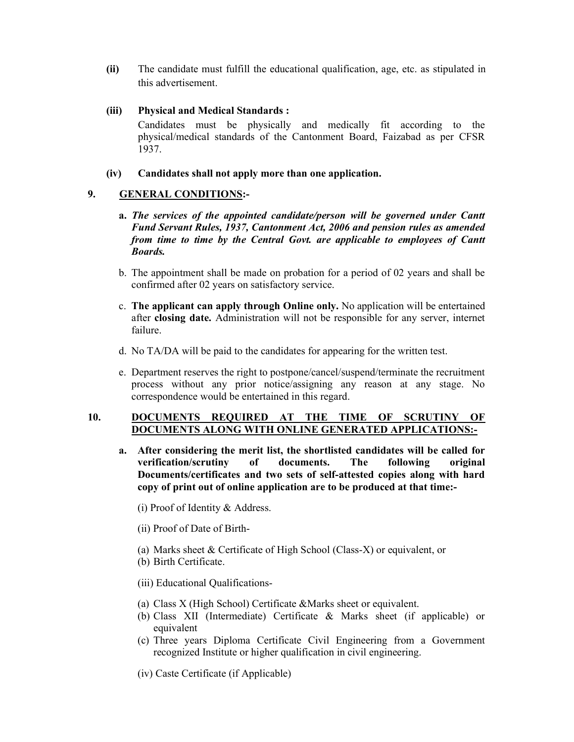(ii) The candidate must fulfill the educational qualification, age, etc. as stipulated in this advertisement.

#### (iii) Physical and Medical Standards :

- Candidates must be physically and medically fit according to the physical/medical standards of the Cantonment Board, Faizabad as per CFSR 1937.
- (iv) Candidates shall not apply more than one application.

### 9. GENERAL CONDITIONS:-

- a. The services of the appointed candidate/person will be governed under Cantt Fund Servant Rules, 1937, Cantonment Act, 2006 and pension rules as amended from time to time by the Central Govt. are applicable to employees of Cantt Boards.
- b. The appointment shall be made on probation for a period of 02 years and shall be confirmed after 02 years on satisfactory service.
- c. The applicant can apply through Online only. No application will be entertained after closing date. Administration will not be responsible for any server, internet failure.
- d. No TA/DA will be paid to the candidates for appearing for the written test.
- e. Department reserves the right to postpone/cancel/suspend/terminate the recruitment process without any prior notice/assigning any reason at any stage. No correspondence would be entertained in this regard.

#### 10. DOCUMENTS REQUIRED AT THE TIME OF SCRUTINY OF DOCUMENTS ALONG WITH ONLINE GENERATED APPLICATIONS:-

- a. After considering the merit list, the shortlisted candidates will be called for verification/scrutiny of documents. The following original Documents/certificates and two sets of self-attested copies along with hard copy of print out of online application are to be produced at that time:-
	- (i) Proof of Identity & Address.
	- (ii) Proof of Date of Birth-
	- (a) Marks sheet & Certificate of High School (Class-X) or equivalent, or
	- (b) Birth Certificate.
	- (iii) Educational Qualifications-
	- (a) Class X (High School) Certificate &Marks sheet or equivalent.
	- (b) Class XII (Intermediate) Certificate & Marks sheet (if applicable) or equivalent
	- (c) Three years Diploma Certificate Civil Engineering from a Government recognized Institute or higher qualification in civil engineering.
	- (iv) Caste Certificate (if Applicable)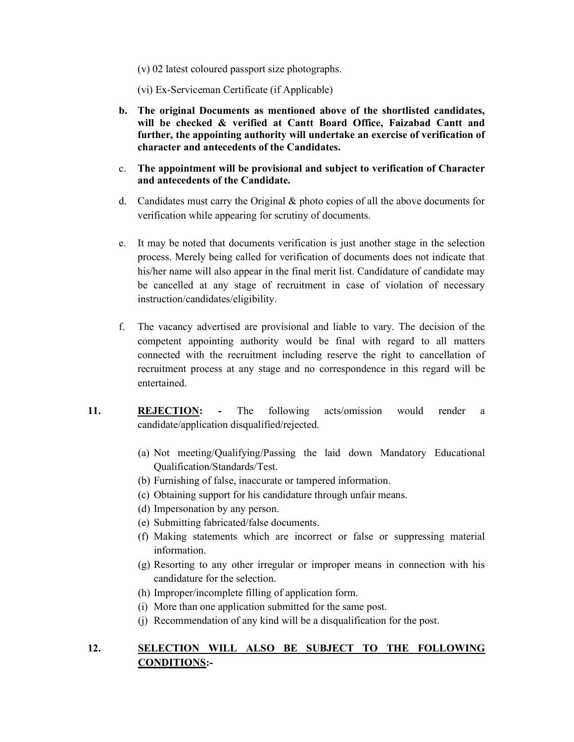(v) 02 latest coloured passport size photographs.

(vi) Ex-Serviceman Certificate (if Applicable)

- b. The original Documents as mentioned above of the shortlisted candidates, will be checked & verified at Cantt Board Office, Faizabad Cantt and further, the appointing authority will undertake an exercise of verification of character and antecedents of the Candidates.
- c. The appointment will be provisional and subject to verification of Character and antecedents of the Candidate.
- d. Candidates must carry the Original & photo copies of all the above documents for verification while appearing for scrutiny of documents.
- e. It may be noted that documents verification is just another stage in the selection process. Merely being called for verification of documents does not indicate that his/her name will also appear in the final merit list. Candidature of candidate may be cancelled at any stage of recruitment in case of violation of necessary instruction/candidates/eligibility.
- f. The vacancy advertised are provisional and liable to vary. The decision of the competent appointing authority would be final with regard to all matters connected with the recruitment including reserve the right to cancellation of recruitment process at any stage and no correspondence in this regard will be entertained.
- 11. REJECTION: The following acts/omission would render a candidate/application disqualified/rejected.
	- (a) Not meeting/Qualifying/Passing the laid down Mandatory Educational Qualification/Standards/Test.
	- (b) Furnishing of false, inaccurate or tampered information.
	- (c) Obtaining support for his candidature through unfair means.
	- (d) Impersonation by any person.
	- (e) Submitting fabricated/false documents.
	- (f) Making statements which are incorrect or false or suppressing material information.
	- (g) Resorting to any other irregular or improper means in connection with his candidature for the selection.
	- (h) Improper/incomplete filling of application form.
	- (i) More than one application submitted for the same post.
	- (j) Recommendation of any kind will be a disqualification for the post.

## 12. SELECTION WILL ALSO BE SUBJECT TO THE FOLLOWING CONDITIONS:-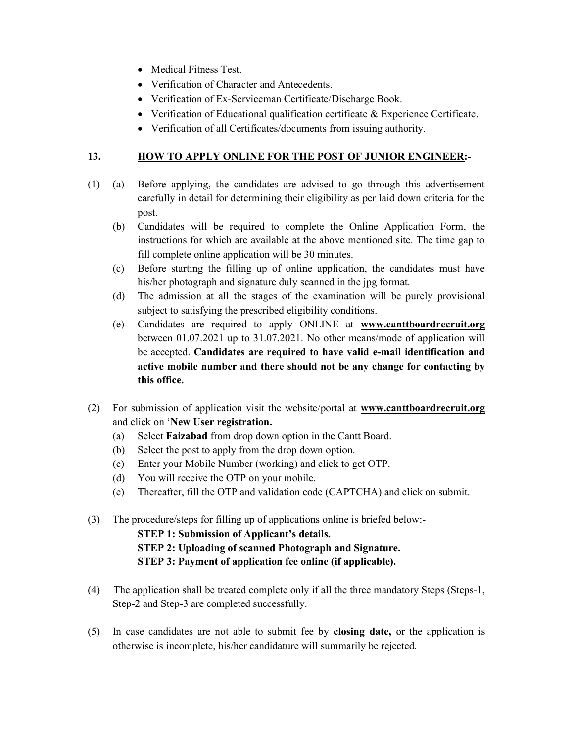- Medical Fitness Test.
- Verification of Character and Antecedents.
- Verification of Ex-Serviceman Certificate/Discharge Book.
- Verification of Educational qualification certificate & Experience Certificate.
- Verification of all Certificates/documents from issuing authority.

#### 13. HOW TO APPLY ONLINE FOR THE POST OF JUNIOR ENGINEER:-

- (1) (a) Before applying, the candidates are advised to go through this advertisement carefully in detail for determining their eligibility as per laid down criteria for the post.
	- (b) Candidates will be required to complete the Online Application Form, the instructions for which are available at the above mentioned site. The time gap to fill complete online application will be 30 minutes.
	- (c) Before starting the filling up of online application, the candidates must have his/her photograph and signature duly scanned in the jpg format.
	- (d) The admission at all the stages of the examination will be purely provisional subject to satisfying the prescribed eligibility conditions.
	- (e) Candidates are required to apply ONLINE at www.canttboardrecruit.org between 01.07.2021 up to 31.07.2021. No other means/mode of application will be accepted. Candidates are required to have valid e-mail identification and active mobile number and there should not be any change for contacting by this office.
- (2) For submission of application visit the website/portal at www.canttboardrecruit.org and click on 'New User registration.
	- (a) Select Faizabad from drop down option in the Cantt Board.
	- (b) Select the post to apply from the drop down option.
	- (c) Enter your Mobile Number (working) and click to get OTP.
	- (d) You will receive the OTP on your mobile.
	- (e) Thereafter, fill the OTP and validation code (CAPTCHA) and click on submit.
- (3) The procedure/steps for filling up of applications online is briefed below:-

#### STEP 1: Submission of Applicant's details.

- STEP 2: Uploading of scanned Photograph and Signature.
- STEP 3: Payment of application fee online (if applicable).
- (4) The application shall be treated complete only if all the three mandatory Steps (Steps-1, Step-2 and Step-3 are completed successfully.
- (5) In case candidates are not able to submit fee by closing date, or the application is otherwise is incomplete, his/her candidature will summarily be rejected.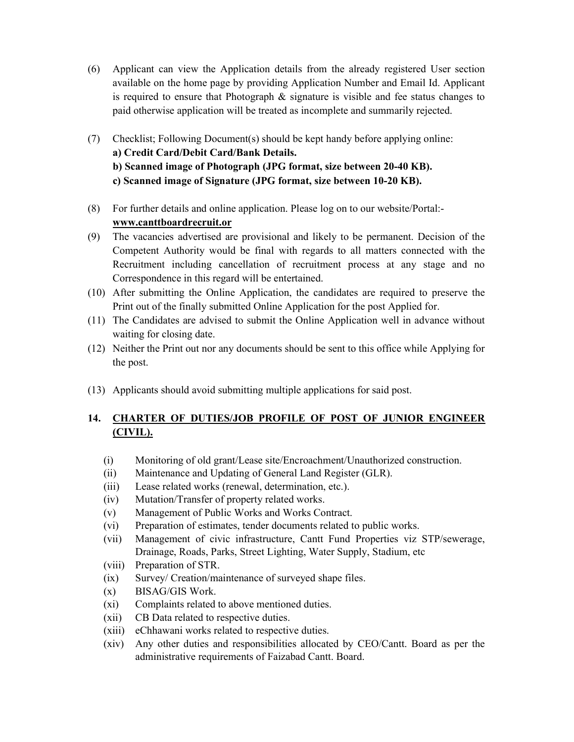- (6) Applicant can view the Application details from the already registered User section available on the home page by providing Application Number and Email Id. Applicant is required to ensure that Photograph & signature is visible and fee status changes to paid otherwise application will be treated as incomplete and summarily rejected.
- (7) Checklist; Following Document(s) should be kept handy before applying online: a) Credit Card/Debit Card/Bank Details. b) Scanned image of Photograph (JPG format, size between 20-40 KB). c) Scanned image of Signature (JPG format, size between 10-20 KB).
- (8) For further details and online application. Please log on to our website/Portal: www.canttboardrecruit.or
- (9) The vacancies advertised are provisional and likely to be permanent. Decision of the Competent Authority would be final with regards to all matters connected with the Recruitment including cancellation of recruitment process at any stage and no Correspondence in this regard will be entertained.
- (10) After submitting the Online Application, the candidates are required to preserve the Print out of the finally submitted Online Application for the post Applied for.
- (11) The Candidates are advised to submit the Online Application well in advance without waiting for closing date.
- (12) Neither the Print out nor any documents should be sent to this office while Applying for the post.
- (13) Applicants should avoid submitting multiple applications for said post.

# 14. CHARTER OF DUTIES/JOB PROFILE OF POST OF JUNIOR ENGINEER (CIVIL).

- (i) Monitoring of old grant/Lease site/Encroachment/Unauthorized construction.
- (ii) Maintenance and Updating of General Land Register (GLR).
- (iii) Lease related works (renewal, determination, etc.).
- (iv) Mutation/Transfer of property related works.
- (v) Management of Public Works and Works Contract.
- (vi) Preparation of estimates, tender documents related to public works.
- (vii) Management of civic infrastructure, Cantt Fund Properties viz STP/sewerage, Drainage, Roads, Parks, Street Lighting, Water Supply, Stadium, etc
- (viii) Preparation of STR.
- (ix) Survey/ Creation/maintenance of surveyed shape files.
- (x) BISAG/GIS Work.
- (xi) Complaints related to above mentioned duties.
- (xii) CB Data related to respective duties.
- (xiii) eChhawani works related to respective duties.
- (xiv) Any other duties and responsibilities allocated by CEO/Cantt. Board as per the administrative requirements of Faizabad Cantt. Board.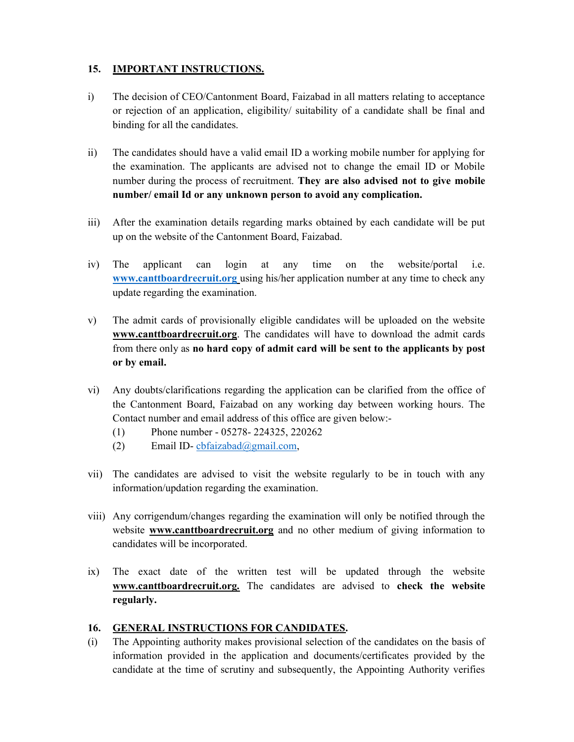#### 15. IMPORTANT INSTRUCTIONS.

- i) The decision of CEO/Cantonment Board, Faizabad in all matters relating to acceptance or rejection of an application, eligibility/ suitability of a candidate shall be final and binding for all the candidates.
- ii) The candidates should have a valid email ID a working mobile number for applying for the examination. The applicants are advised not to change the email ID or Mobile number during the process of recruitment. They are also advised not to give mobile number/ email Id or any unknown person to avoid any complication.
- iii) After the examination details regarding marks obtained by each candidate will be put up on the website of the Cantonment Board, Faizabad.
- iv) The applicant can login at any time on the website/portal i.e. www.canttboardrecruit.org using his/her application number at any time to check any update regarding the examination.
- v) The admit cards of provisionally eligible candidates will be uploaded on the website www.canttboardrecruit.org. The candidates will have to download the admit cards from there only as no hard copy of admit card will be sent to the applicants by post or by email.
- vi) Any doubts/clarifications regarding the application can be clarified from the office of the Cantonment Board, Faizabad on any working day between working hours. The Contact number and email address of this office are given below:-
	- (1) Phone number 05278- 224325, 220262
	- (2) Email ID-cbfaizabad@gmail.com,
- vii) The candidates are advised to visit the website regularly to be in touch with any information/updation regarding the examination.
- viii) Any corrigendum/changes regarding the examination will only be notified through the website **www.canttboardrecruit.org** and no other medium of giving information to candidates will be incorporated.
- ix) The exact date of the written test will be updated through the website www.canttboardrecruit.org. The candidates are advised to check the website regularly.

#### 16. GENERAL INSTRUCTIONS FOR CANDIDATES.

(i) The Appointing authority makes provisional selection of the candidates on the basis of information provided in the application and documents/certificates provided by the candidate at the time of scrutiny and subsequently, the Appointing Authority verifies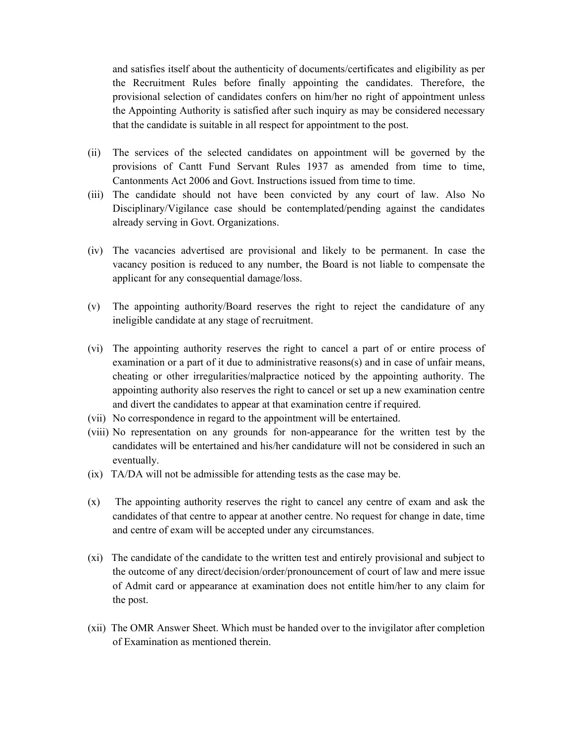and satisfies itself about the authenticity of documents/certificates and eligibility as per the Recruitment Rules before finally appointing the candidates. Therefore, the provisional selection of candidates confers on him/her no right of appointment unless the Appointing Authority is satisfied after such inquiry as may be considered necessary that the candidate is suitable in all respect for appointment to the post.

- (ii) The services of the selected candidates on appointment will be governed by the provisions of Cantt Fund Servant Rules 1937 as amended from time to time, Cantonments Act 2006 and Govt. Instructions issued from time to time.
- (iii) The candidate should not have been convicted by any court of law. Also No Disciplinary/Vigilance case should be contemplated/pending against the candidates already serving in Govt. Organizations.
- (iv) The vacancies advertised are provisional and likely to be permanent. In case the vacancy position is reduced to any number, the Board is not liable to compensate the applicant for any consequential damage/loss.
- (v) The appointing authority/Board reserves the right to reject the candidature of any ineligible candidate at any stage of recruitment.
- (vi) The appointing authority reserves the right to cancel a part of or entire process of examination or a part of it due to administrative reasons(s) and in case of unfair means, cheating or other irregularities/malpractice noticed by the appointing authority. The appointing authority also reserves the right to cancel or set up a new examination centre and divert the candidates to appear at that examination centre if required.
- (vii) No correspondence in regard to the appointment will be entertained.
- (viii) No representation on any grounds for non-appearance for the written test by the candidates will be entertained and his/her candidature will not be considered in such an eventually.
- (ix) TA/DA will not be admissible for attending tests as the case may be.
- (x) The appointing authority reserves the right to cancel any centre of exam and ask the candidates of that centre to appear at another centre. No request for change in date, time and centre of exam will be accepted under any circumstances.
- (xi) The candidate of the candidate to the written test and entirely provisional and subject to the outcome of any direct/decision/order/pronouncement of court of law and mere issue of Admit card or appearance at examination does not entitle him/her to any claim for the post.
- (xii) The OMR Answer Sheet. Which must be handed over to the invigilator after completion of Examination as mentioned therein.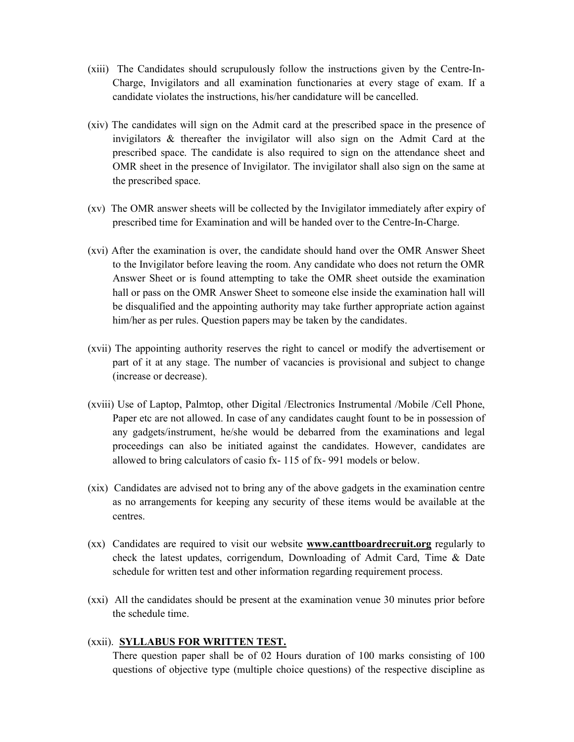- (xiii) The Candidates should scrupulously follow the instructions given by the Centre-In-Charge, Invigilators and all examination functionaries at every stage of exam. If a candidate violates the instructions, his/her candidature will be cancelled.
- (xiv) The candidates will sign on the Admit card at the prescribed space in the presence of invigilators & thereafter the invigilator will also sign on the Admit Card at the prescribed space. The candidate is also required to sign on the attendance sheet and OMR sheet in the presence of Invigilator. The invigilator shall also sign on the same at the prescribed space.
- (xv) The OMR answer sheets will be collected by the Invigilator immediately after expiry of prescribed time for Examination and will be handed over to the Centre-In-Charge.
- (xvi) After the examination is over, the candidate should hand over the OMR Answer Sheet to the Invigilator before leaving the room. Any candidate who does not return the OMR Answer Sheet or is found attempting to take the OMR sheet outside the examination hall or pass on the OMR Answer Sheet to someone else inside the examination hall will be disqualified and the appointing authority may take further appropriate action against him/her as per rules. Question papers may be taken by the candidates.
- (xvii) The appointing authority reserves the right to cancel or modify the advertisement or part of it at any stage. The number of vacancies is provisional and subject to change (increase or decrease).
- (xviii) Use of Laptop, Palmtop, other Digital /Electronics Instrumental /Mobile /Cell Phone, Paper etc are not allowed. In case of any candidates caught fount to be in possession of any gadgets/instrument, he/she would be debarred from the examinations and legal proceedings can also be initiated against the candidates. However, candidates are allowed to bring calculators of casio fx- 115 of fx- 991 models or below.
- (xix) Candidates are advised not to bring any of the above gadgets in the examination centre as no arrangements for keeping any security of these items would be available at the centres.
- (xx) Candidates are required to visit our website www.canttboardrecruit.org regularly to check the latest updates, corrigendum, Downloading of Admit Card, Time & Date schedule for written test and other information regarding requirement process.
- (xxi) All the candidates should be present at the examination venue 30 minutes prior before the schedule time.

#### (xxii). SYLLABUS FOR WRITTEN TEST.

There question paper shall be of 02 Hours duration of 100 marks consisting of 100 questions of objective type (multiple choice questions) of the respective discipline as